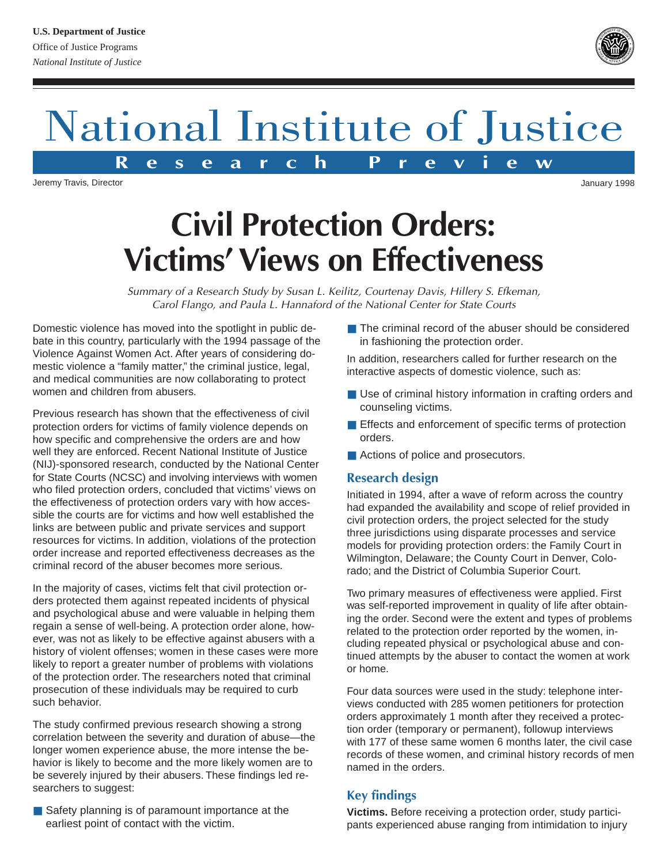## National Institute of Justice **R e s e a r c h P r e v i e w**

Jeremy Travis, Director

# **Civil Protection Orders: Victims' Views on Effectiveness**

Summary of a Research Study by Susan L. Keilitz, Courtenay Davis, Hillery S. Efkeman, Carol Flango, and Paula L. Hannaford of the National Center for State Courts

Domestic violence has moved into the spotlight in public debate in this country, particularly with the 1994 passage of the Violence Against Women Act. After years of considering domestic violence a "family matter," the criminal justice, legal, and medical communities are now collaborating to protect women and children from abusers.

Previous research has shown that the effectiveness of civil protection orders for victims of family violence depends on how specific and comprehensive the orders are and how well they are enforced. Recent National Institute of Justice (NIJ)-sponsored research, conducted by the National Center for State Courts (NCSC) and involving interviews with women who filed protection orders, concluded that victims' views on the effectiveness of protection orders vary with how accessible the courts are for victims and how well established the links are between public and private services and support resources for victims. In addition, violations of the protection order increase and reported effectiveness decreases as the criminal record of the abuser becomes more serious.

In the majority of cases, victims felt that civil protection orders protected them against repeated incidents of physical and psychological abuse and were valuable in helping them regain a sense of well-being. A protection order alone, however, was not as likely to be effective against abusers with a history of violent offenses; women in these cases were more likely to report a greater number of problems with violations of the protection order. The researchers noted that criminal prosecution of these individuals may be required to curb such behavior.

The study confirmed previous research showing a strong correlation between the severity and duration of abuse—the longer women experience abuse, the more intense the behavior is likely to become and the more likely women are to be severely injured by their abusers. These findings led researchers to suggest:

■ Safety planning is of paramount importance at the earliest point of contact with the victim.

■ The criminal record of the abuser should be considered in fashioning the protection order.

In addition, researchers called for further research on the interactive aspects of domestic violence, such as:

- Use of criminal history information in crafting orders and counseling victims.
- Effects and enforcement of specific terms of protection orders.
- Actions of police and prosecutors.

### **Research design**

Initiated in 1994, after a wave of reform across the country had expanded the availability and scope of relief provided in civil protection orders, the project selected for the study three jurisdictions using disparate processes and service models for providing protection orders: the Family Court in Wilmington, Delaware; the County Court in Denver, Colorado; and the District of Columbia Superior Court.

Two primary measures of effectiveness were applied. First was self-reported improvement in quality of life after obtaining the order. Second were the extent and types of problems related to the protection order reported by the women, including repeated physical or psychological abuse and continued attempts by the abuser to contact the women at work or home.

Four data sources were used in the study: telephone interviews conducted with 285 women petitioners for protection orders approximately 1 month after they received a protection order (temporary or permanent), followup interviews with 177 of these same women 6 months later, the civil case records of these women, and criminal history records of men named in the orders.

### **Key findings**

**Victims.** Before receiving a protection order, study participants experienced abuse ranging from intimidation to injury

**U.S. Department of Justice** Office of Justice Programs *National Institute of Justice*